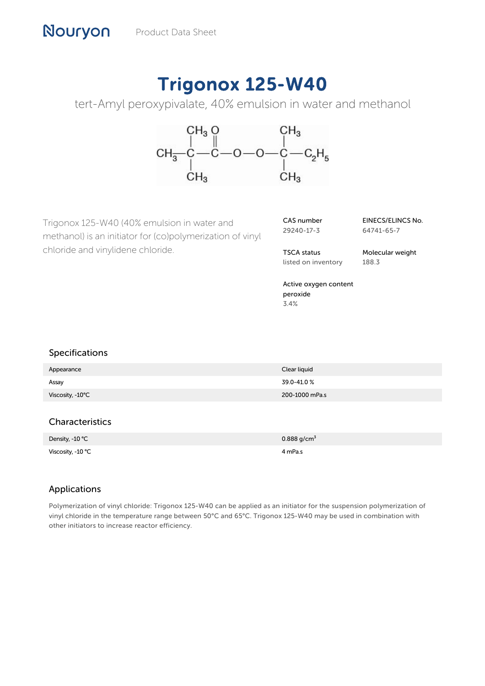# Trigonox 125-W40

tert-Amyl peroxypivalate, 40% emulsion in water and methanol



Trigonox 125-W40 (40% emulsion in water and methanol) is an initiator for (co)polymerization of vinyl chloride and vinylidene chloride.

| CAS number |  |
|------------|--|
| 29240-17-3 |  |

EINECS/ELINCS No. 64741-65-7

TSCA status listed on inventory Molecular weight 188.3

Active oxygen content peroxide 3.4%

### Specifications

| Appearance       | Clear liquid   |
|------------------|----------------|
| Assay            | 39.0-41.0%     |
| Viscosity, -10°C | 200-1000 mPa.s |

## **Characteristics**

| Density, -10 °C   | $0.888$ g/cm <sup>3</sup> |
|-------------------|---------------------------|
| Viscosity, -10 °C | 4 mPa.s                   |

## Applications

Polymerization of vinyl chloride: Trigonox 125-W40 can be applied as an initiator for the suspension polymerization of vinyl chloride in the temperature range between 50°C and 65°C. Trigonox 125-W40 may be used in combination with other initiators to increase reactor efficiency.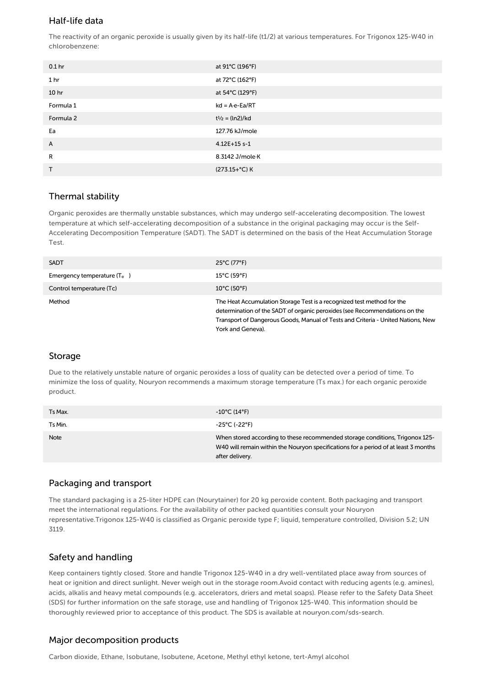### Half-life data

The reactivity of an organic peroxide is usually given by its half-life (t1/2) at various temperatures. For Trigonox 125-W40 in chlorobenzene:

| 0.1 <sub>hr</sub> | at 91°C (196°F)          |
|-------------------|--------------------------|
| 1 <sub>hr</sub>   | at 72°C (162°F)          |
| 10 <sub>hr</sub>  | at 54°C (129°F)          |
| Formula 1         | $kd = A \cdot e - Ea/RT$ |
| Formula 2         | $t^{1/2} = (ln2)/kd$     |
| Ea                | 127.76 kJ/mole           |
| A                 | 4.12E+15 s-1             |
| R                 | 8.3142 J/mole K          |
| T                 | (273.15+°C) K            |

### Thermal stability

Organic peroxides are thermally unstable substances, which may undergo self-accelerating decomposition. The lowest temperature at which self-accelerating decomposition of a substance in the original packaging may occur is the Self-Accelerating Decomposition Temperature (SADT). The SADT is determined on the basis of the Heat Accumulation Storage Test.

| <b>SADT</b>                   | $25^{\circ}$ C (77 $^{\circ}$ F)                                                                                                                                                                                                                              |
|-------------------------------|---------------------------------------------------------------------------------------------------------------------------------------------------------------------------------------------------------------------------------------------------------------|
| Emergency temperature $(T_e)$ | $15^{\circ}$ C (59 $^{\circ}$ F)                                                                                                                                                                                                                              |
| Control temperature (Tc)      | $10^{\circ}$ C (50 $^{\circ}$ F)                                                                                                                                                                                                                              |
| Method                        | The Heat Accumulation Storage Test is a recognized test method for the<br>determination of the SADT of organic peroxides (see Recommendations on the<br>Transport of Dangerous Goods, Manual of Tests and Criteria - United Nations, New<br>York and Geneva). |

### Storage

Due to the relatively unstable nature of organic peroxides a loss of quality can be detected over a period of time. To minimize the loss of quality, Nouryon recommends a maximum storage temperature (Ts max.) for each organic peroxide product.

| Ts Max. | $-10^{\circ}$ C (14°F)                                                                                                                                                                 |
|---------|----------------------------------------------------------------------------------------------------------------------------------------------------------------------------------------|
| Ts Min. | -25°C (-22°F)                                                                                                                                                                          |
| Note    | When stored according to these recommended storage conditions, Trigonox 125-<br>W40 will remain within the Nouryon specifications for a period of at least 3 months<br>after delivery. |

### Packaging and transport

The standard packaging is a 25-liter HDPE can (Nourytainer) for 20 kg peroxide content. Both packaging and transport meet the international regulations. For the availability of other packed quantities consult your Nouryon representative.Trigonox 125-W40 is classified as Organic peroxide type F; liquid, temperature controlled, Division 5.2; UN 3119.

## Safety and handling

Keep containers tightly closed. Store and handle Trigonox 125-W40 in a dry well-ventilated place away from sources of heat or ignition and direct sunlight. Never weigh out in the storage room.Avoid contact with reducing agents (e.g. amines), acids, alkalis and heavy metal compounds (e.g. accelerators, driers and metal soaps). Please refer to the Safety Data Sheet (SDS) for further information on the safe storage, use and handling of Trigonox 125-W40. This information should be thoroughly reviewed prior to acceptance of this product. The SDS is available at nouryon.com/sds-search.

### Major decomposition products

Carbon dioxide, Ethane, Isobutane, Isobutene, Acetone, Methyl ethyl ketone, tert-Amyl alcohol